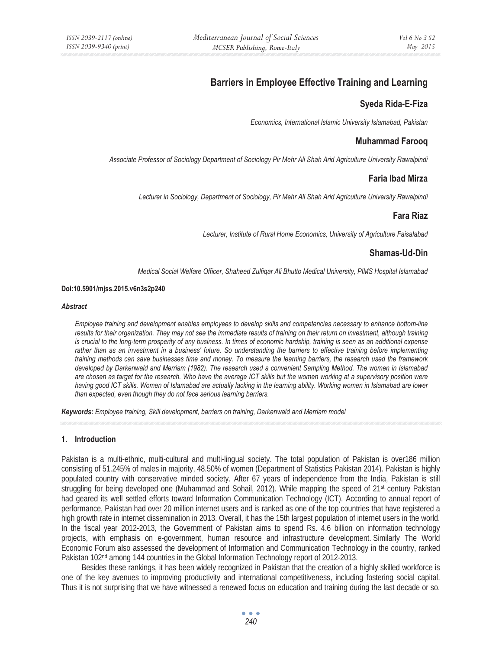# **Barriers in Employee Effective Training and Learning**

### **Syeda Rida-E-Fiza**

*Economics, International Islamic University Islamabad, Pakistan* 

### **Muhammad Farooq**

*Associate Professor of Sociology Department of Sociology Pir Mehr Ali Shah Arid Agriculture University Rawalpindi* 

## **Faria Ibad Mirza**

*Lecturer in Sociology, Department of Sociology, Pir Mehr Ali Shah Arid Agriculture University Rawalpindi* 

### **Fara Riaz**

*Lecturer, Institute of Rural Home Economics, University of Agriculture Faisalabad* 

# **Shamas-Ud-Din**

*Medical Social Welfare Officer, Shaheed Zulfiqar Ali Bhutto Medical University, PIMS Hospital Islamabad* 

#### **Doi:10.5901/mjss.2015.v6n3s2p240**

#### *Abstract*

*Employee training and development enables employees to develop skills and competencies necessary to enhance bottom-line results for their organization. They may not see the immediate results of training on their return on investment, although training is crucial to the long-term prosperity of any business. In times of economic hardship, training is seen as an additional expense rather than as an investment in a business' future. So understanding the barriers to effective training before implementing training methods can save businesses time and money. To measure the learning barriers, the research used the framework developed by Darkenwald and Merriam (1982). The research used a convenient Sampling Method. The women in Islamabad are chosen as target for the research. Who have the average ICT skills but the women working at a supervisory position were having good ICT skills. Women of Islamabad are actually lacking in the learning ability. Working women in Islamabad are lower than expected, even though they do not face serious learning barriers.* 

*Keywords: Employee training, Skill development, barriers on training, Darkenwald and Merriam model*

#### **1. Introduction**

Pakistan is a multi-ethnic, multi-cultural and multi-lingual society. The total population of Pakistan is over186 million consisting of 51.245% of males in majority, 48.50% of women (Department of Statistics Pakistan 2014). Pakistan is highly populated country with conservative minded society. After 67 years of independence from the India, Pakistan is still struggling for being developed one (Muhammad and Sohail, 2012). While mapping the speed of 21<sup>st</sup> century Pakistan had geared its well settled efforts toward Information Communication Technology (ICT). According to annual report of performance, Pakistan had over 20 million internet users and is ranked as one of the top countries that have registered a high growth rate in internet dissemination in 2013. Overall, it has the 15th largest population of internet users in the world. In the fiscal year 2012-2013, the Government of Pakistan aims to spend Rs. 4.6 billion on information technology projects, with emphasis on e-government, human resource and infrastructure development. Similarly The World Economic Forum also assessed the development of Information and Communication Technology in the country, ranked Pakistan 102nd among 144 countries in the Global Information Technology report of 2012-2013.

Besides these rankings, it has been widely recognized in Pakistan that the creation of a highly skilled workforce is one of the key avenues to improving productivity and international competitiveness, including fostering social capital. Thus it is not surprising that we have witnessed a renewed focus on education and training during the last decade or so.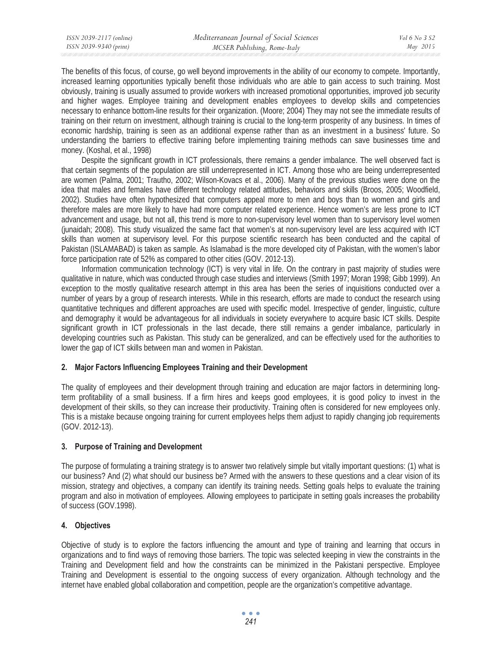The benefits of this focus, of course, go well beyond improvements in the ability of our economy to compete. Importantly, increased learning opportunities typically benefit those individuals who are able to gain access to such training. Most obviously, training is usually assumed to provide workers with increased promotional opportunities, improved job security and higher wages. Employee training and development enables employees to develop skills and competencies necessary to enhance bottom-line results for their organization. (Moore; 2004) They may not see the immediate results of training on their return on investment, although training is crucial to the long-term prosperity of any business. In times of economic hardship, training is seen as an additional expense rather than as an investment in a business' future. So understanding the barriers to effective training before implementing training methods can save businesses time and money. (Koshal, et al., 1998)

Despite the significant growth in ICT professionals, there remains a gender imbalance. The well observed fact is that certain segments of the population are still underrepresented in ICT. Among those who are being underrepresented are women (Palma, 2001; Trautho, 2002; Wilson-Kovacs et al., 2006). Many of the previous studies were done on the idea that males and females have different technology related attitudes, behaviors and skills (Broos, 2005; Woodfield, 2002). Studies have often hypothesized that computers appeal more to men and boys than to women and girls and therefore males are more likely to have had more computer related experience. Hence women's are less prone to ICT advancement and usage, but not all, this trend is more to non-supervisory level women than to supervisory level women (junaidah; 2008). This study visualized the same fact that women's at non-supervisory level are less acquired with ICT skills than women at supervisory level. For this purpose scientific research has been conducted and the capital of Pakistan (ISLAMABAD) is taken as sample. As Islamabad is the more developed city of Pakistan, with the women's labor force participation rate of 52% as compared to other cities (GOV. 2012-13).

Information communication technology (ICT) is very vital in life. On the contrary in past majority of studies were qualitative in nature, which was conducted through case studies and interviews (Smith 1997; Moran 1998; Gibb 1999). An exception to the mostly qualitative research attempt in this area has been the series of inquisitions conducted over a number of years by a group of research interests. While in this research, efforts are made to conduct the research using quantitative techniques and different approaches are used with specific model. Irrespective of gender, linguistic, culture and demography it would be advantageous for all individuals in society everywhere to acquire basic ICT skills. Despite significant growth in ICT professionals in the last decade, there still remains a gender imbalance, particularly in developing countries such as Pakistan. This study can be generalized, and can be effectively used for the authorities to lower the gap of ICT skills between man and women in Pakistan.

### **2. Major Factors Influencing Employees Training and their Development**

The quality of employees and their development through training and education are major factors in determining longterm profitability of a small business. If a firm hires and keeps good employees, it is good policy to invest in the development of their skills, so they can increase their productivity. Training often is considered for new employees only. This is a mistake because ongoing training for current employees helps them adjust to rapidly changing job requirements (GOV. 2012-13).

### **3. Purpose of Training and Development**

The purpose of formulating a training strategy is to answer two relatively simple but vitally important questions: (1) what is our business? And (2) what should our business be? Armed with the answers to these questions and a clear vision of its mission, strategy and objectives, a company can identify its training needs. Setting goals helps to evaluate the training program and also in motivation of employees. Allowing employees to participate in setting goals increases the probability of success (GOV.1998).

### **4. Objectives**

Objective of study is to explore the factors influencing the amount and type of training and learning that occurs in organizations and to find ways of removing those barriers. The topic was selected keeping in view the constraints in the Training and Development field and how the constraints can be minimized in the Pakistani perspective. Employee Training and Development is essential to the ongoing success of every organization. Although technology and the internet have enabled global collaboration and competition, people are the organization's competitive advantage.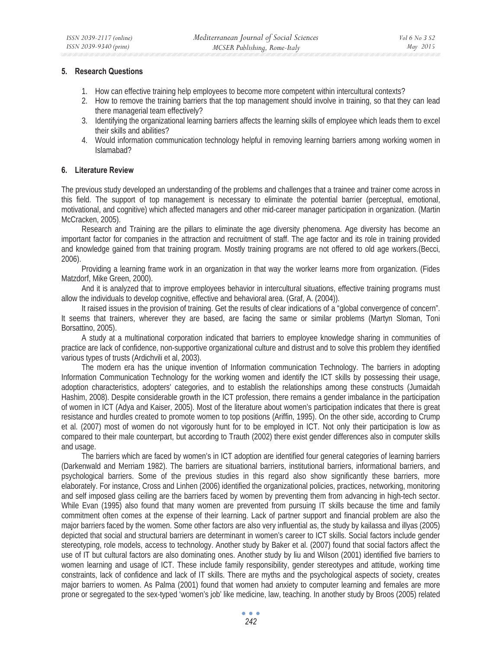#### **5. Research Questions**

- 1. How can effective training help employees to become more competent within intercultural contexts?
- 2. How to remove the training barriers that the top management should involve in training, so that they can lead there managerial team effectively?
- 3. Identifying the organizational learning barriers affects the learning skills of employee which leads them to excel their skills and abilities?
- 4. Would information communication technology helpful in removing learning barriers among working women in Islamabad?

#### **6. Literature Review**

The previous study developed an understanding of the problems and challenges that a trainee and trainer come across in this field. The support of top management is necessary to eliminate the potential barrier (perceptual, emotional, motivational, and cognitive) which affected managers and other mid-career manager participation in organization. (Martin McCracken, 2005).

Research and Training are the pillars to eliminate the age diversity phenomena. Age diversity has become an important factor for companies in the attraction and recruitment of staff. The age factor and its role in training provided and knowledge gained from that training program. Mostly training programs are not offered to old age workers.(Becci, 2006).

Providing a learning frame work in an organization in that way the worker learns more from organization. (Fides Matzdorf, Mike Green, 2000).

And it is analyzed that to improve employees behavior in intercultural situations, effective training programs must allow the individuals to develop cognitive, effective and behavioral area. (Graf, A. (2004)).

It raised issues in the provision of training. Get the results of clear indications of a "global convergence of concern". It seems that trainers, wherever they are based, are facing the same or similar problems (Martyn Sloman, Toni Borsattino, 2005).

A study at a multinational corporation indicated that barriers to employee knowledge sharing in communities of practice are lack of confidence, non-supportive organizational culture and distrust and to solve this problem they identified various types of trusts (Ardichvili et al, 2003).

The modern era has the unique invention of Information communication Technology. The barriers in adopting Information Communication Technology for the working women and identify the ICT skills by possessing their usage, adoption characteristics, adopters' categories, and to establish the relationships among these constructs (Jumaidah Hashim, 2008). Despite considerable growth in the ICT profession, there remains a gender imbalance in the participation of women in ICT (Adya and Kaiser, 2005). Most of the literature about women's participation indicates that there is great resistance and hurdles created to promote women to top positions (Ariffin, 1995). On the other side, according to Crump et al. (2007) most of women do not vigorously hunt for to be employed in ICT. Not only their participation is low as compared to their male counterpart, but according to Trauth (2002) there exist gender differences also in computer skills and usage.

The barriers which are faced by women's in ICT adoption are identified four general categories of learning barriers (Darkenwald and Merriam 1982). The barriers are situational barriers, institutional barriers, informational barriers, and psychological barriers. Some of the previous studies in this regard also show significantly these barriers, more elaborately. For instance, Cross and Linhen (2006) identified the organizational policies, practices, networking, monitoring and self imposed glass ceiling are the barriers faced by women by preventing them from advancing in high-tech sector. While Evan (1995) also found that many women are prevented from pursuing IT skills because the time and family commitment often comes at the expense of their learning. Lack of partner support and financial problem are also the major barriers faced by the women. Some other factors are also very influential as, the study by kailassa and illyas (2005) depicted that social and structural barriers are determinant in women's career to ICT skills. Social factors include gender stereotyping, role models, access to technology. Another study by Baker et al. (2007) found that social factors affect the use of IT but cultural factors are also dominating ones. Another study by liu and Wilson (2001) identified five barriers to women learning and usage of ICT. These include family responsibility, gender stereotypes and attitude, working time constraints, lack of confidence and lack of IT skills. There are myths and the psychological aspects of society, creates major barriers to women. As Palma (2001) found that women had anxiety to computer learning and females are more prone or segregated to the sex-typed 'women's job' like medicine, law, teaching. In another study by Broos (2005) related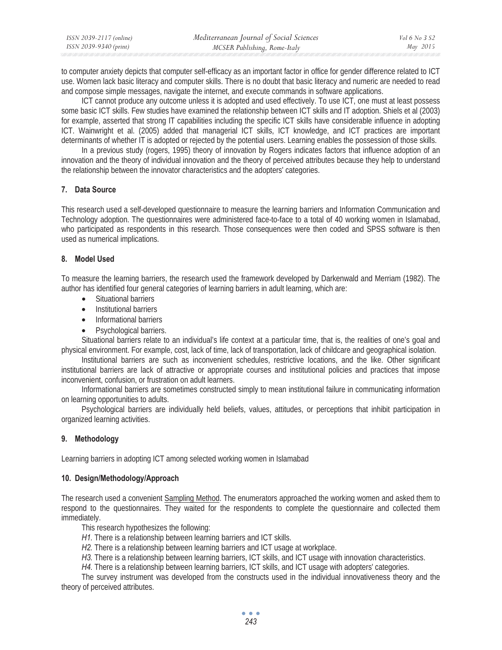| ISSN 2039-2117 (online) | Mediterranean Journal of Social Sciences | <i>Vol</i> 6 No 3 S2 |
|-------------------------|------------------------------------------|----------------------|
| ISSN 2039-9340 (print)  | MCSER Publishing, Rome-Italy             | May 2015             |

to computer anxiety depicts that computer self-efficacy as an important factor in office for gender difference related to ICT use. Women lack basic literacy and computer skills. There is no doubt that basic literacy and numeric are needed to read and compose simple messages, navigate the internet, and execute commands in software applications.

ICT cannot produce any outcome unless it is adopted and used effectively. To use ICT, one must at least possess some basic ICT skills. Few studies have examined the relationship between ICT skills and IT adoption. Shiels et al (2003) for example, asserted that strong IT capabilities including the specific ICT skills have considerable influence in adopting ICT. Wainwright et al. (2005) added that managerial ICT skills, ICT knowledge, and ICT practices are important determinants of whether IT is adopted or rejected by the potential users. Learning enables the possession of those skills.

In a previous study (rogers, 1995) theory of innovation by Rogers indicates factors that influence adoption of an innovation and the theory of individual innovation and the theory of perceived attributes because they help to understand the relationship between the innovator characteristics and the adopters' categories.

### **7. Data Source**

This research used a self-developed questionnaire to measure the learning barriers and Information Communication and Technology adoption. The questionnaires were administered face-to-face to a total of 40 working women in Islamabad, who participated as respondents in this research. Those consequences were then coded and SPSS software is then used as numerical implications.

#### **8. Model Used**

To measure the learning barriers, the research used the framework developed by Darkenwald and Merriam (1982). The author has identified four general categories of learning barriers in adult learning, which are:

- Situational barriers
- Institutional barriers
- Informational barriers
- Psychological barriers.

Situational barriers relate to an individual's life context at a particular time, that is, the realities of one's goal and physical environment. For example, cost, lack of time, lack of transportation, lack of childcare and geographical isolation.

Institutional barriers are such as inconvenient schedules, restrictive locations, and the like. Other significant institutional barriers are lack of attractive or appropriate courses and institutional policies and practices that impose inconvenient, confusion, or frustration on adult learners.

Informational barriers are sometimes constructed simply to mean institutional failure in communicating information on learning opportunities to adults.

Psychological barriers are individually held beliefs, values, attitudes, or perceptions that inhibit participation in organized learning activities.

#### **9. Methodology**

Learning barriers in adopting ICT among selected working women in Islamabad

#### **10. Design/Methodology/Approach**

The research used a convenient Sampling Method. The enumerators approached the working women and asked them to respond to the questionnaires. They waited for the respondents to complete the questionnaire and collected them immediately.

This research hypothesizes the following:

- *H1.* There is a relationship between learning barriers and ICT skills.
- *H2.* There is a relationship between learning barriers and ICT usage at workplace.

*H3.* There is a relationship between learning barriers, ICT skills, and ICT usage with innovation characteristics.

*H4.* There is a relationship between learning barriers, ICT skills, and ICT usage with adopters' categories.

The survey instrument was developed from the constructs used in the individual innovativeness theory and the theory of perceived attributes.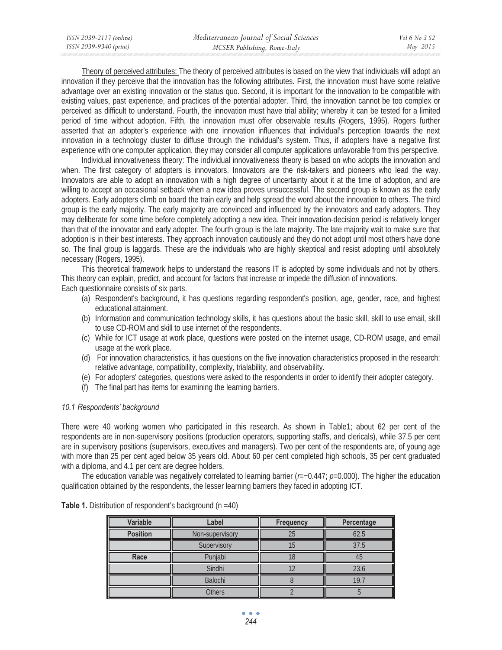| ISSN 2039-2117 (online) | Mediterranean Journal of Social Sciences | $Vol 6$ No. 3 S2 |
|-------------------------|------------------------------------------|------------------|
| ISSN 2039-9340 (print)  | MCSER Publishing, Rome-Italy             | May 2015         |

Theory of perceived attributes: The theory of perceived attributes is based on the view that individuals will adopt an innovation if they perceive that the innovation has the following attributes. First, the innovation must have some relative advantage over an existing innovation or the status quo. Second, it is important for the innovation to be compatible with existing values, past experience, and practices of the potential adopter. Third, the innovation cannot be too complex or perceived as difficult to understand. Fourth, the innovation must have trial ability; whereby it can be tested for a limited period of time without adoption. Fifth, the innovation must offer observable results (Rogers, 1995). Rogers further asserted that an adopter's experience with one innovation influences that individual's perception towards the next innovation in a technology cluster to diffuse through the individual's system. Thus, if adopters have a negative first experience with one computer application, they may consider all computer applications unfavorable from this perspective.

Individual innovativeness theory: The individual innovativeness theory is based on who adopts the innovation and when. The first category of adopters is innovators. Innovators are the risk-takers and pioneers who lead the way. Innovators are able to adopt an innovation with a high degree of uncertainty about it at the time of adoption, and are willing to accept an occasional setback when a new idea proves unsuccessful. The second group is known as the early adopters. Early adopters climb on board the train early and help spread the word about the innovation to others. The third group is the early majority. The early majority are convinced and influenced by the innovators and early adopters. They may deliberate for some time before completely adopting a new idea. Their innovation-decision period is relatively longer than that of the innovator and early adopter. The fourth group is the late majority. The late majority wait to make sure that adoption is in their best interests. They approach innovation cautiously and they do not adopt until most others have done so. The final group is laggards. These are the individuals who are highly skeptical and resist adopting until absolutely necessary (Rogers, 1995).

This theoretical framework helps to understand the reasons IT is adopted by some individuals and not by others. This theory can explain, predict, and account for factors that increase or impede the diffusion of innovations.

Each questionnaire consists of six parts.

- (a) Respondent's background, it has questions regarding respondent's position, age, gender, race, and highest educational attainment.
- (b) Information and communication technology skills, it has questions about the basic skill, skill to use email, skill to use CD-ROM and skill to use internet of the respondents.
- (c) While for ICT usage at work place, questions were posted on the internet usage, CD-ROM usage, and email usage at the work place.
- (d) For innovation characteristics, it has questions on the five innovation characteristics proposed in the research: relative advantage, compatibility, complexity, trialability, and observability.
- (e) For adopters' categories, questions were asked to the respondents in order to identify their adopter category.
- (f) The final part has items for examining the learning barriers.

#### *10.1 Respondents' background*

There were 40 working women who participated in this research. As shown in Table1; about 62 per cent of the respondents are in non-supervisory positions (production operators, supporting staffs, and clericals), while 37.5 per cent are in supervisory positions (supervisors, executives and managers). Two per cent of the respondents are, of young age with more than 25 per cent aged below 35 years old. About 60 per cent completed high schools, 35 per cent graduated with a diploma, and 4.1 per cent are degree holders.

The education variable was negatively correlated to learning barrier ( $r=-0.447$ ;  $p=0.000$ ). The higher the education qualification obtained by the respondents, the lesser learning barriers they faced in adopting ICT.

| Variable        | Label           | Percentage |      |
|-----------------|-----------------|------------|------|
| <b>Position</b> | Non-supervisory | 25         | 62.5 |
|                 | Supervisory     |            | 37.5 |
| Race            | Punjabi         |            |      |
|                 | Sindhi          |            | 23.6 |
|                 | <b>Balochi</b>  |            |      |
|                 | <b>Others</b>   |            |      |

|  |  |  | Table 1. Distribution of respondent's background (n =40) |  |
|--|--|--|----------------------------------------------------------|--|
|--|--|--|----------------------------------------------------------|--|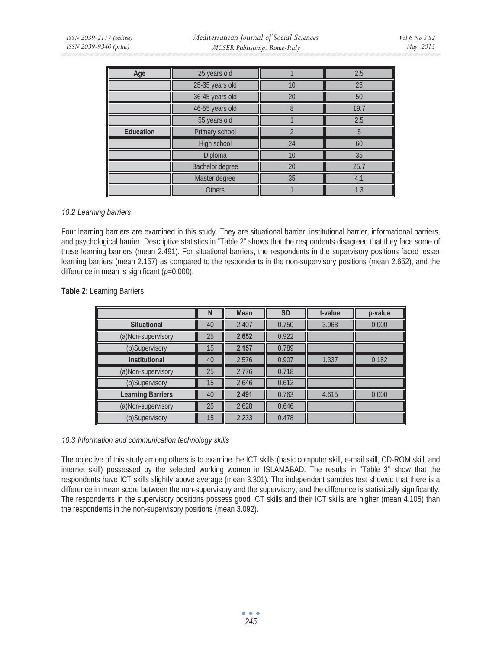| Age              | 25 years old    |    | 2.5  |
|------------------|-----------------|----|------|
|                  | 25-35 years old | 10 | 25   |
|                  | 36-45 years old | 20 | 50   |
|                  | 46-55 years old | 8  | 19.7 |
|                  | 55 years old    |    | 2.5  |
| <b>Education</b> | Primary school  |    | h    |
|                  | High school     | 24 | 60   |
|                  | Diploma         | 10 | 35   |
|                  | Bachelor degree | 20 | 25.7 |
|                  | Master degree   | 35 | 4.1  |
|                  | <b>Others</b>   |    | 1.3  |

#### *10.2 Learning barriers*

Four learning barriers are examined in this study. They are situational barrier, institutional barrier, informational barriers, and psychological barrier. Descriptive statistics in "Table 2" shows that the respondents disagreed that they face some of these learning barriers (mean 2.491). For situational barriers, the respondents in the supervisory positions faced lesser learning barriers (mean 2.157) as compared to the respondents in the non-supervisory positions (mean 2.652), and the difference in mean is significant (*p*=0.000).

**Table 2:** Learning Barriers

|                          | N  | <b>Mean</b> | <b>SD</b> | t-value | p-value |
|--------------------------|----|-------------|-----------|---------|---------|
| <b>Situational</b>       | 40 | 2.407       | 0.750     | 3.968   | 0.000   |
| (a)Non-supervisory       | 25 | 2.652       | 0.922     |         |         |
| (b)Supervisory           | 15 | 2.157       | 0.789     |         |         |
| <b>Institutional</b>     | 40 | 2.576       | 0.907     | 1.337   | 0.182   |
| (a)Non-supervisory       | 25 | 2.776       | 0.718     |         |         |
| (b)Supervisory           | 15 | 2.646       | 0.612     |         |         |
| <b>Learning Barriers</b> | 40 | 2.491       | 0.763     | 4.615   | 0.000   |
| (a)Non-supervisory       | 25 | 2.628       | 0.646     |         |         |
| (b)Supervisory           | 15 | 2.233       | 0.478     |         |         |

#### *10.3 Information and communication technology skills*

The objective of this study among others is to examine the ICT skills (basic computer skill, e-mail skill, CD-ROM skill, and internet skill) possessed by the selected working women in ISLAMABAD. The results in "Table 3" show that the respondents have ICT skills slightly above average (mean 3.301). The independent samples test showed that there is a difference in mean score between the non-supervisory and the supervisory, and the difference is statistically significantly. The respondents in the supervisory positions possess good ICT skills and their ICT skills are higher (mean 4.105) than the respondents in the non-supervisory positions (mean 3.092).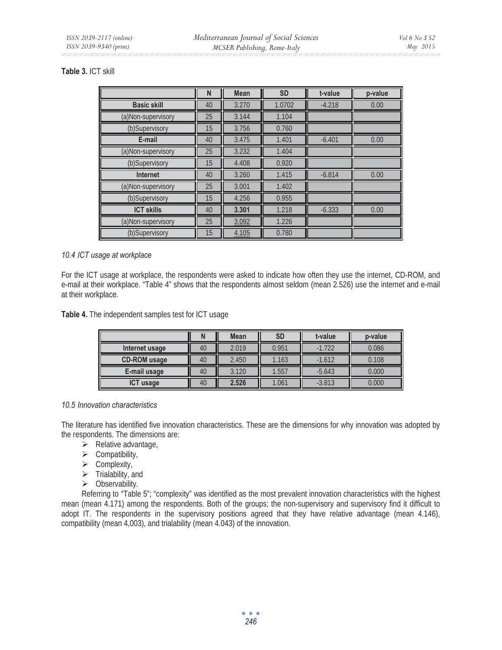#### **Table 3.** ICT skill

|                    | N  | <b>Mean</b> | <b>SD</b> | t-value  | p-value |
|--------------------|----|-------------|-----------|----------|---------|
| <b>Basic skill</b> | 40 | 3.270       | 1.0702    | $-4.218$ | 0.00    |
| (a)Non-supervisory | 25 | 3.144       | 1.104     |          |         |
| (b)Supervisory     | 15 | 3.756       | 0.760     |          |         |
| E-mail             | 40 | 3.475       | 1.401     | $-6.401$ | 0.00    |
| (a)Non-supervisory | 25 | 3.232       | 1.404     |          |         |
| (b)Supervisory     | 15 | 4.408       | 0.920     |          |         |
| <b>Internet</b>    | 40 | 3.260       | 1.415     | $-6.814$ | 0.00    |
| (a)Non-supervisory | 25 | 3.001       | 1.402     |          |         |
| (b)Supervisory     | 15 | 4.256       | 0.955     |          |         |
| <b>ICT skills</b>  | 40 | 3.301       | 1.218     | $-6.333$ | 0.00    |
| (a)Non-supervisory | 25 | 3.092       | 1.226     |          |         |
| (b)Supervisory     | 15 | 4.105       | 0.780     |          |         |

#### *10.4 ICT usage at workplace*

For the ICT usage at workplace, the respondents were asked to indicate how often they use the internet, CD-ROM, and e-mail at their workplace. "Table 4" shows that the respondents almost seldom (mean 2.526) use the internet and e-mail at their workplace.

| Table 4. The independent samples test for ICT usage |
|-----------------------------------------------------|
|-----------------------------------------------------|

|                     |    | <b>Mean</b> | <b>SD</b>      | t-value  | p-value |
|---------------------|----|-------------|----------------|----------|---------|
| Internet usage      | 40 | 2.019       | 0.951          | $-1.722$ | 0.086   |
| <b>CD-ROM</b> usage | 40 | 2.450       | 1.163          | $-1.612$ | 0.108   |
| E-mail usage        | 40 | 3.120       | $1.55^{\circ}$ | $-5.643$ | 0.000   |
| ICT usage           | 40 | 2.526       | 1.061          | $-3.813$ | 0.000   |

#### *10.5 Innovation characteristics*

The literature has identified five innovation characteristics. These are the dimensions for why innovation was adopted by the respondents. The dimensions are:

- $\blacktriangleright$  Relative advantage,
- $\triangleright$  Compatibility,
- $\triangleright$  Complexity,
- $\triangleright$  Trialability, and
- ¾ Observability.

Referring to "Table 5"; "complexity" was identified as the most prevalent innovation characteristics with the highest mean (mean 4.171) among the respondents. Both of the groups; the non-supervisory and supervisory find it difficult to adopt IT. The respondents in the supervisory positions agreed that they have relative advantage (mean 4.146), compatibility (mean 4,003), and trialability (mean 4.043) of the innovation.

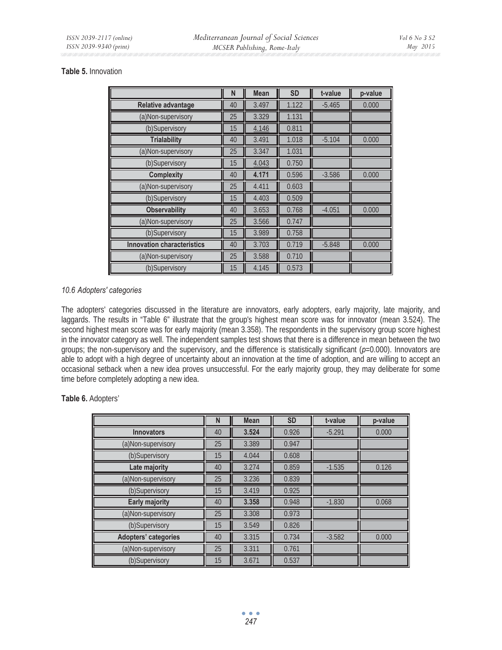#### **Table 5.** Innovation

|                                   | N  | <b>Mean</b> | <b>SD</b> | t-value  | p-value |
|-----------------------------------|----|-------------|-----------|----------|---------|
| Relative advantage                | 40 | 3.497       | 1.122     | $-5.465$ | 0.000   |
| (a)Non-supervisory                | 25 | 3.329       | 1.131     |          |         |
| (b)Supervisory                    | 15 | 4.146       | 0.811     |          |         |
| <b>Trialability</b>               | 40 | 3.491       | 1.018     | $-5.104$ | 0.000   |
| (a)Non-supervisory                | 25 | 3.347       | 1.031     |          |         |
| (b)Supervisory                    | 15 | 4.043       | 0.750     |          |         |
| <b>Complexity</b>                 | 40 | 4.171       | 0.596     | $-3.586$ | 0.000   |
| (a)Non-supervisory                | 25 | 4.411       | 0.603     |          |         |
| (b)Supervisory                    | 15 | 4.403       | 0.509     |          |         |
| <b>Observability</b>              | 40 | 3.653       | 0.768     | $-4.051$ | 0.000   |
| (a)Non-supervisory                | 25 | 3.566       | 0.747     |          |         |
| (b)Supervisory                    | 15 | 3.989       | 0.758     |          |         |
| <b>Innovation characteristics</b> | 40 | 3.703       | 0.719     | $-5.848$ | 0.000   |
| (a)Non-supervisory                | 25 | 3.588       | 0.710     |          |         |
| (b)Supervisory                    | 15 | 4.145       | 0.573     |          |         |

#### *10.6 Adopters' categories*

The adopters' categories discussed in the literature are innovators, early adopters, early majority, late majority, and laggards. The results in "Table 6" illustrate that the group's highest mean score was for innovator (mean 3.524). The second highest mean score was for early majority (mean 3.358). The respondents in the supervisory group score highest in the innovator category as well. The independent samples test shows that there is a difference in mean between the two groups; the non-supervisory and the supervisory, and the difference is statistically significant (*p*=0.000). Innovators are able to adopt with a high degree of uncertainty about an innovation at the time of adoption, and are willing to accept an occasional setback when a new idea proves unsuccessful. For the early majority group, they may deliberate for some time before completely adopting a new idea.

|                             | N. | <b>Mean</b> | <b>SD</b> | t-value  | p-value |
|-----------------------------|----|-------------|-----------|----------|---------|
| <b>Innovators</b>           | 40 | 3.524       | 0.926     | $-5.291$ | 0.000   |
| (a)Non-supervisory          | 25 | 3.389       | 0.947     |          |         |
| (b)Supervisory              | 15 | 4.044       | 0.608     |          |         |
| Late majority               | 40 | 3.274       | 0.859     | $-1.535$ | 0.126   |
| (a)Non-supervisory          | 25 | 3.236       | 0.839     |          |         |
| (b)Supervisory              | 15 | 3.419       | 0.925     |          |         |
| <b>Early majority</b>       | 40 | 3.358       | 0.948     | $-1.830$ | 0.068   |
| (a)Non-supervisory          | 25 | 3.308       | 0.973     |          |         |
| (b)Supervisory              | 15 | 3.549       | 0.826     |          |         |
| <b>Adopters' categories</b> | 40 | 3.315       | 0.734     | $-3.582$ | 0.000   |
| (a)Non-supervisory          | 25 | 3.311       | 0.761     |          |         |
| (b)Supervisory              | 15 | 3.671       | 0.537     |          |         |

#### **Table 6.** Adopters'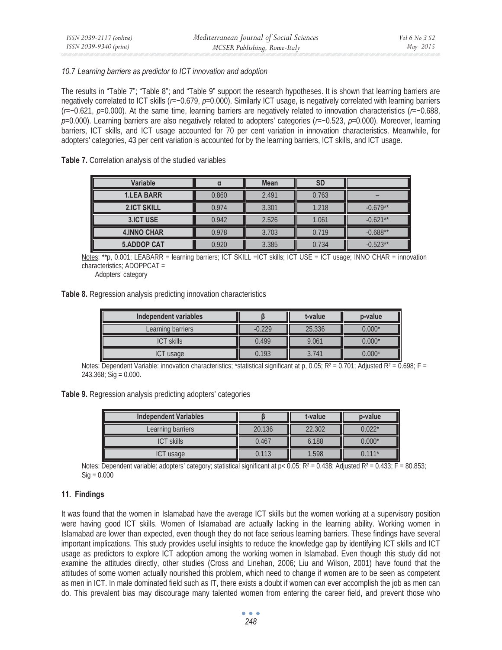#### *10.7 Learning barriers as predictor to ICT innovation and adoption*

The results in "Table 7"; "Table 8"; and "Table 9" support the research hypotheses. It is shown that learning barriers are negatively correlated to ICT skills ( $r=-0.679$ ,  $p=0.000$ ). Similarly ICT usage, is negatively correlated with learning barriers  $(r=-0.621, p=0.000)$ . At the same time, learning barriers are negatively related to innovation characteristics  $(r=-0.688, p=0.688)$ *p*=0.000). Learning barriers are also negatively related to adopters' categories (*r*=-0.523, *p*=0.000). Moreover, learning barriers, ICT skills, and ICT usage accounted for 70 per cent variation in innovation characteristics. Meanwhile, for adopters' categories, 43 per cent variation is accounted for by the learning barriers, ICT skills, and ICT usage.

### **Table 7.** Correlation analysis of the studied variables

| <b>Variable</b>    |       | <b>Mean</b> | <b>SD</b> |            |
|--------------------|-------|-------------|-----------|------------|
| <b>1.LEA BARR</b>  | 0.860 | 2.491       | 0.763     |            |
| 2.ICT SKILL        | 0.974 | 3.301       | 1.218     | $-0.679**$ |
| 3.ICT USE          | 0.942 | 2.526       | 1.061     | $-0.621**$ |
| <b>4.INNO CHAR</b> | 0.978 | 3.703       | 0.719     | $-0.688**$ |
| <b>5.ADDOP CAT</b> | 0.920 | 3.385       | 0.734     | $-0.523**$ |

Notes: \*\*p, 0.001; LEABARR = learning barriers; ICT SKILL =ICT skills; ICT USE = ICT usage; INNO CHAR = innovation characteristics; ADOPPCAT =

Adopters' category

**Table 8.** Regression analysis predicting innovation characteristics

| Independent variables |          | t-value | p-value  |
|-----------------------|----------|---------|----------|
| Learning barriers     | $-0.229$ | 25.336  | $0.000*$ |
| <b>ICT skills</b>     | 0.499    | 9.061   | $0.000*$ |
| ICT usage             | 0.193    | 3.741   | $0.000*$ |

Notes: Dependent Variable: innovation characteristics; \*statistical significant at p, 0.05; R<sup>2</sup> = 0.701; Adjusted R<sup>2</sup> = 0.698; F =  $243.368$ ; Sig = 0.000.

#### **Table 9.** Regression analysis predicting adopters' categories

| <b>Independent Variables</b> |        | t-value | p-value  |
|------------------------------|--------|---------|----------|
| Learning barriers            | 20.136 | 22.302  | $0.022*$ |
| <b>ICT skills</b>            | 0.467  | 6.188   | $0.000*$ |
| ICT usage                    | 0.113  | .598    | $0.111*$ |

Notes: Dependent variable: adopters' category; statistical significant at  $p < 0.05$ ; R<sup>2</sup> = 0.438; Adjusted R<sup>2</sup> = 0.433; F = 80.853;  $Sig = 0.000$ 

### **11. Findings**

It was found that the women in Islamabad have the average ICT skills but the women working at a supervisory position were having good ICT skills. Women of Islamabad are actually lacking in the learning ability. Working women in Islamabad are lower than expected, even though they do not face serious learning barriers. These findings have several important implications. This study provides useful insights to reduce the knowledge gap by identifying ICT skills and ICT usage as predictors to explore ICT adoption among the working women in Islamabad. Even though this study did not examine the attitudes directly, other studies (Cross and Linehan, 2006; Liu and Wilson, 2001) have found that the attitudes of some women actually nourished this problem, which need to change if women are to be seen as competent as men in ICT. In male dominated field such as IT, there exists a doubt if women can ever accomplish the job as men can do. This prevalent bias may discourage many talented women from entering the career field, and prevent those who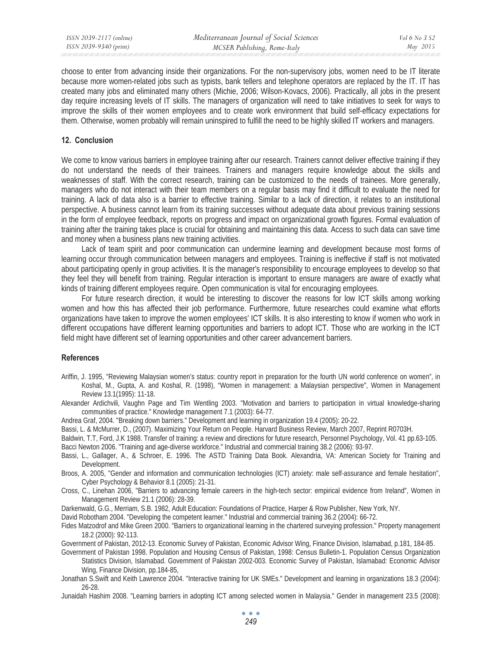choose to enter from advancing inside their organizations. For the non-supervisory jobs, women need to be IT literate because more women-related jobs such as typists, bank tellers and telephone operators are replaced by the IT. IT has created many jobs and eliminated many others (Michie, 2006; Wilson-Kovacs, 2006). Practically, all jobs in the present day require increasing levels of IT skills. The managers of organization will need to take initiatives to seek for ways to improve the skills of their women employees and to create work environment that build self-efficacy expectations for them. Otherwise, women probably will remain uninspired to fulfill the need to be highly skilled IT workers and managers.

#### **12. Conclusion**

We come to know various barriers in employee training after our research. Trainers cannot deliver effective training if they do not understand the needs of their trainees. Trainers and managers require knowledge about the skills and weaknesses of staff. With the correct research, training can be customized to the needs of trainees. More generally, managers who do not interact with their team members on a regular basis may find it difficult to evaluate the need for training. A lack of data also is a barrier to effective training. Similar to a lack of direction, it relates to an institutional perspective. A business cannot learn from its training successes without adequate data about previous training sessions in the form of employee feedback, reports on progress and impact on organizational growth figures. Formal evaluation of training after the training takes place is crucial for obtaining and maintaining this data. Access to such data can save time and money when a business plans new training activities.

Lack of team spirit and poor communication can undermine learning and development because most forms of learning occur through communication between managers and employees. Training is ineffective if staff is not motivated about participating openly in group activities. It is the manager's responsibility to encourage employees to develop so that they feel they will benefit from training. Regular interaction is important to ensure managers are aware of exactly what kinds of training different employees require. Open communication is vital for encouraging employees.

For future research direction, it would be interesting to discover the reasons for low ICT skills among working women and how this has affected their job performance. Furthermore, future researches could examine what efforts organizations have taken to improve the women employees' ICT skills. It is also interesting to know if women who work in different occupations have different learning opportunities and barriers to adopt ICT. Those who are working in the ICT field might have different set of learning opportunities and other career advancement barriers.

#### **References**

- Ariffin, J. 1995, "Reviewing Malaysian women's status: country report in preparation for the fourth UN world conference on women", in Koshal, M., Gupta, A. and Koshal, R. (1998), "Women in management: a Malaysian perspective", Women in Management Review 13.1(1995): 11-18.
- Alexander Ardichvili, Vaughn Page and Tim Wentling 2003. "Motivation and barriers to participation in virtual knowledge-sharing communities of practice." Knowledge management 7.1 (2003): 64-77.
- Andrea Graf, 2004. "Breaking down barriers." Development and learning in organization 19.4 (2005): 20-22.
- Bassi, L. & McMurrer, D., (2007). Maximizing Your Return on People. Harvard Business Review, March 2007, Reprint R0703H.
- Baldwin, T.T, Ford, J.K 1988. Transfer of training: a review and directions for future research, Personnel Psychology, Vol. 41 pp.63-105.
- Bacci Newton 2006. "Training and age-diverse workforce." Industrial and commercial training 38.2 (2006): 93-97.
- Bassi, L., Gallager, A., & Schroer, E. 1996. The ASTD Training Data Book. Alexandria, VA: American Society for Training and Development.
- Broos, A. 2005, "Gender and information and communication technologies (ICT) anxiety: male self-assurance and female hesitation", Cyber Psychology & Behavior 8.1 (2005): 21-31.
- Cross, C., Linehan 2006, "Barriers to advancing female careers in the high-tech sector: empirical evidence from Ireland", Women in Management Review 21.1 (2006): 28-39.
- Darkenwald, G.G., Merriam, S.B. 1982, Adult Education: Foundations of Practice, Harper & Row Publisher, New York, NY.
- David Robotham 2004. "Developing the competent learner." Industrial and commercial training 36.2 (2004): 66-72.
- Fides Matzodrof and Mike Green 2000. "Barriers to organizational learning in the chartered surveying profession." Property management 18.2 (2000): 92-113.
- Government of Pakistan, 2012-13. Economic Survey of Pakistan, Economic Advisor Wing, Finance Division, Islamabad, p.181, 184-85.

Government of Pakistan 1998. Population and Housing Census of Pakistan, 1998: Census Bulletin-1. Population Census Organization Statistics Division, Islamabad. Government of Pakistan 2002-003. Economic Survey of Pakistan, Islamabad: Economic Advisor Wing, Finance Division, pp.184-85,

- Jonathan S.Swift and Keith Lawrence 2004. "Interactive training for UK SMEs." Development and learning in organizations 18.3 (2004): 26-28.
- Junaidah Hashim 2008. "Learning barriers in adopting ICT among selected women in Malaysia." Gender in management 23.5 (2008):